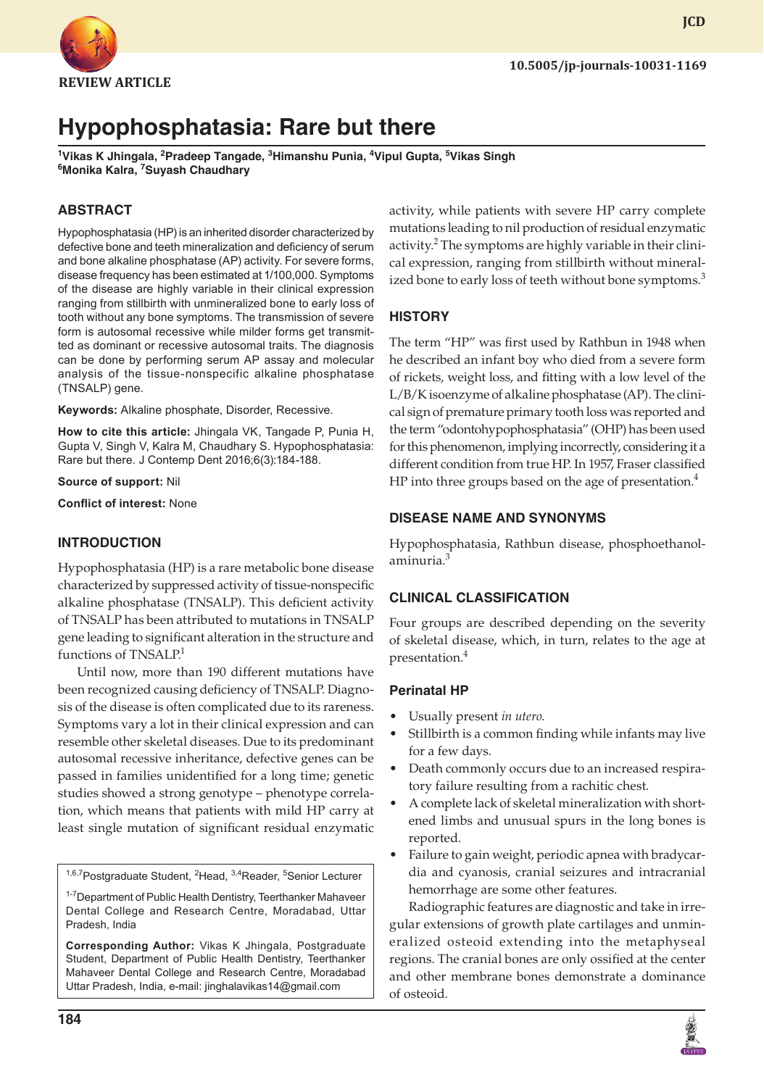

# **JCD**

## **Hypophosphatasia: Rare but there**

<sup>1</sup>Vikas K Jhingala, <sup>2</sup>Pradeep Tangade, <sup>3</sup>Himanshu Punia, <sup>4</sup>Vipul Gupta, <sup>5</sup>Vikas Singh **6 Monika Kalra, 7 Suyash Chaudhary**

### **ABSTRACT**

Hypophosphatasia (HP) is an inherited disorder characterized by defective bone and teeth mineralization and deficiency of serum and bone alkaline phosphatase (AP) activity. For severe forms, disease frequency has been estimated at 1/100,000. Symptoms of the disease are highly variable in their clinical expression ranging from stillbirth with unmineralized bone to early loss of tooth without any bone symptoms. The transmission of severe form is autosomal recessive while milder forms get transmitted as dominant or recessive autosomal traits. The diagnosis can be done by performing serum AP assay and molecular analysis of the tissue-nonspecific alkaline phosphatase (TNSALP) gene.

**Keywords:** Alkaline phosphate, Disorder, Recessive.

**How to cite this article:** Jhingala VK, Tangade P, Punia H, Gupta V, Singh V, Kalra M, Chaudhary S. Hypophosphatasia: Rare but there. J Contemp Dent 2016;6(3):184-188.

**Source of support:** Nil

**Conflict of interest:** None

#### **INTRODUCTION**

Hypophosphatasia (HP) is a rare metabolic bone disease characterized by suppressed activity of tissue-nonspecific alkaline phosphatase (TNSALP). This deficient activity of TNSALP has been attributed to mutations in TNSALP gene leading to significant alteration in the structure and functions of TNSALP.<sup>1</sup>

Until now, more than 190 different mutations have been recognized causing deficiency of TNSALP. Diagnosis of the disease is often complicated due to its rareness. Symptoms vary a lot in their clinical expression and can resemble other skeletal diseases. Due to its predominant autosomal recessive inheritance, defective genes can be passed in families unidentified for a long time; genetic studies showed a strong genotype – phenotype correlation, which means that patients with mild HP carry at least single mutation of significant residual enzymatic

<sup>1,6,7</sup>Postgraduate Student, <sup>2</sup>Head, <sup>3,4</sup>Reader, <sup>5</sup>Senior Lecturer

<sup>1-7</sup>Department of Public Health Dentistry, Teerthanker Mahaveer Dental College and Research Centre, Moradabad, Uttar Pradesh, India

**Corresponding Author:** Vikas K Jhingala, Postgraduate Student, Department of Public Health Dentistry, Teerthanker Mahaveer Dental College and Research Centre, Moradabad Uttar Pradesh, India, e-mail: jinghalavikas14@gmail.com

activity, while patients with severe HP carry complete mutations leading to nil production of residual enzymatic activity.<sup>2</sup> The symptoms are highly variable in their clinical expression, ranging from stillbirth without mineralized bone to early loss of teeth without bone symptoms.<sup>3</sup>

#### **HISTORY**

The term "HP" was first used by Rathbun in 1948 when he described an infant boy who died from a severe form of rickets, weight loss, and fitting with a low level of the L/B/K isoenzyme of alkaline phosphatase (AP). The clinical sign of premature primary tooth loss was reported and the term "odontohypophosphatasia" (OHP) has been used for this phenomenon, implying incorrectly, considering it a different condition from true HP. In 1957, Fraser classified HP into three groups based on the age of presentation. $4$ 

#### **DISEASE NAME AND SYNONYMS**

Hypophosphatasia, Rathbun disease, phosphoethanolaminuria.<sup>3</sup>

#### **CLINICAL CLASSIFICATION**

Four groups are described depending on the severity of skeletal disease, which, in turn, relates to the age at presentation.4

#### **Perinatal HP**

- Usually present *in utero*.
- Stillbirth is a common finding while infants may live for a few days.
- Death commonly occurs due to an increased respiratory failure resulting from a rachitic chest.
- A complete lack of skeletal mineralization with shortened limbs and unusual spurs in the long bones is reported.
- Failure to gain weight, periodic apnea with bradycardia and cyanosis, cranial seizures and intracranial hemorrhage are some other features.

Radiographic features are diagnostic and take in irregular extensions of growth plate cartilages and unmineralized osteoid extending into the metaphyseal regions. The cranial bones are only ossified at the center and other membrane bones demonstrate a dominance of osteoid.

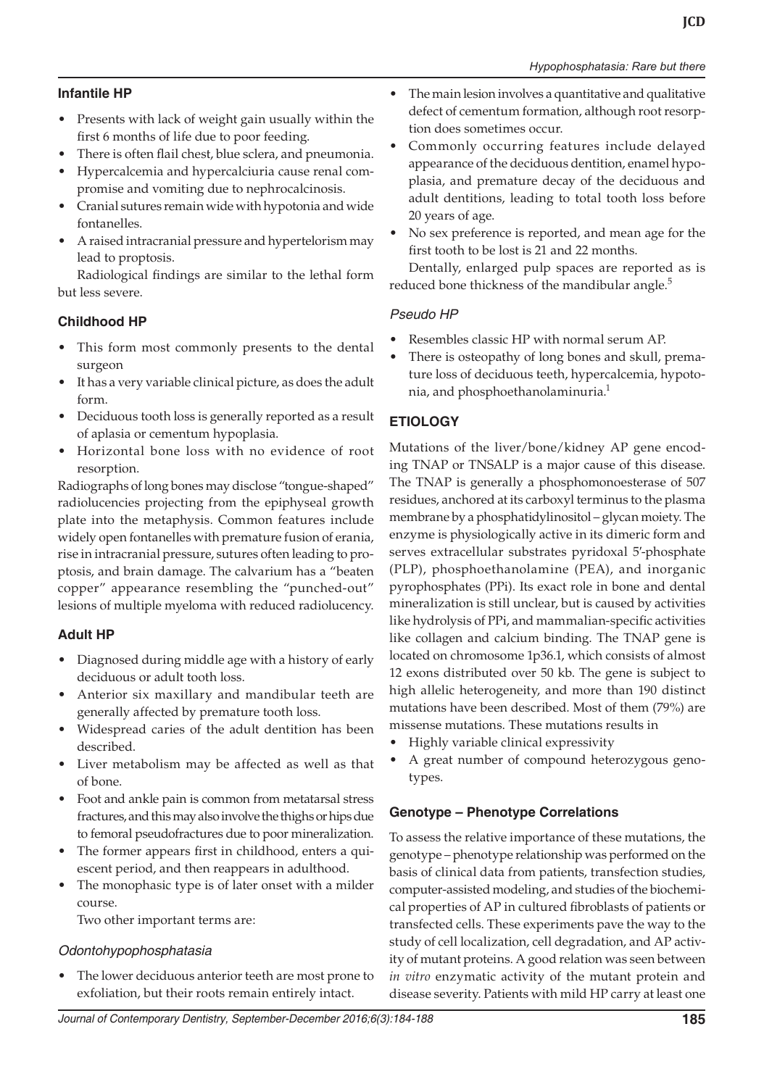#### **Infantile HP**

- • Presents with lack of weight gain usually within the first 6 months of life due to poor feeding.
- There is often flail chest, blue sclera, and pneumonia.
- Hypercalcemia and hypercalciuria cause renal compromise and vomiting due to nephrocalcinosis.
- Cranial sutures remain wide with hypotonia and wide fontanelles.
- A raised intracranial pressure and hypertelorism may lead to proptosis.

Radiological findings are similar to the lethal form but less severe.

#### **Childhood HP**

- This form most commonly presents to the dental surgeon
- It has a very variable clinical picture, as does the adult form.
- Deciduous tooth loss is generally reported as a result of aplasia or cementum hypoplasia.
- Horizontal bone loss with no evidence of root resorption.

Radiographs of long bones may disclose "tongue-shaped" radiolucencies projecting from the epiphyseal growth plate into the metaphysis. Common features include widely open fontanelles with premature fusion of erania, rise in intracranial pressure, sutures often leading to proptosis, and brain damage. The calvarium has a "beaten copper" appearance resembling the "punched-out" lesions of multiple myeloma with reduced radiolucency.

#### **Adult HP**

- Diagnosed during middle age with a history of early deciduous or adult tooth loss.
- Anterior six maxillary and mandibular teeth are generally affected by premature tooth loss.
- Widespread caries of the adult dentition has been described.
- Liver metabolism may be affected as well as that of bone.
- Foot and ankle pain is common from metatarsal stress fractures, and this may also involve the thighs or hips due to femoral pseudofractures due to poor mineralization.
- The former appears first in childhood, enters a quiescent period, and then reappears in adulthood.
- The monophasic type is of later onset with a milder course.

Two other important terms are:

#### *Odontohypophosphatasia*

The lower deciduous anterior teeth are most prone to exfoliation, but their roots remain entirely intact.

- The main lesion involves a quantitative and qualitative defect of cementum formation, although root resorption does sometimes occur.
- Commonly occurring features include delayed appearance of the deciduous dentition, enamel hypoplasia, and premature decay of the deciduous and adult dentitions, leading to total tooth loss before 20 years of age.
- No sex preference is reported, and mean age for the first tooth to be lost is 21 and 22 months.

Dentally, enlarged pulp spaces are reported as is reduced bone thickness of the mandibular angle.<sup>5</sup>

#### *Pseudo HP*

- Resembles classic HP with normal serum AP.
- There is osteopathy of long bones and skull, premature loss of deciduous teeth, hypercalcemia, hypotonia, and phosphoethanolaminuria.1

#### **ETIOLOGY**

Mutations of the liver/bone/kidney AP gene encoding TNAP or TNSALP is a major cause of this disease. The TNAP is generally a phosphomonoesterase of 507 residues, anchored at its carboxyl terminus to the plasma membrane by a phosphatidylinositol – glycan moiety. The enzyme is physiologically active in its dimeric form and serves extracellular substrates pyridoxal 5′-phosphate (PLP), phosphoethanolamine (PEA), and inorganic pyrophosphates (PPi). Its exact role in bone and dental mineralization is still unclear, but is caused by activities like hydrolysis of PPi, and mammalian-specific activities like collagen and calcium binding. The TNAP gene is located on chromosome 1p36.1, which consists of almost 12 exons distributed over 50 kb. The gene is subject to high allelic heterogeneity, and more than 190 distinct mutations have been described. Most of them (79%) are missense mutations. These mutations results in

- Highly variable clinical expressivity
- • A great number of compound heterozygous genotypes.

#### **Genotype – Phenotype Correlations**

To assess the relative importance of these mutations, the genotype – phenotype relationship was performed on the basis of clinical data from patients, transfection studies, computer-assisted modeling, and studies of the biochemical properties of AP in cultured fibroblasts of patients or transfected cells. These experiments pave the way to the study of cell localization, cell degradation, and AP activity of mutant proteins. A good relation was seen between *in vitro* enzymatic activity of the mutant protein and disease severity. Patients with mild HP carry at least one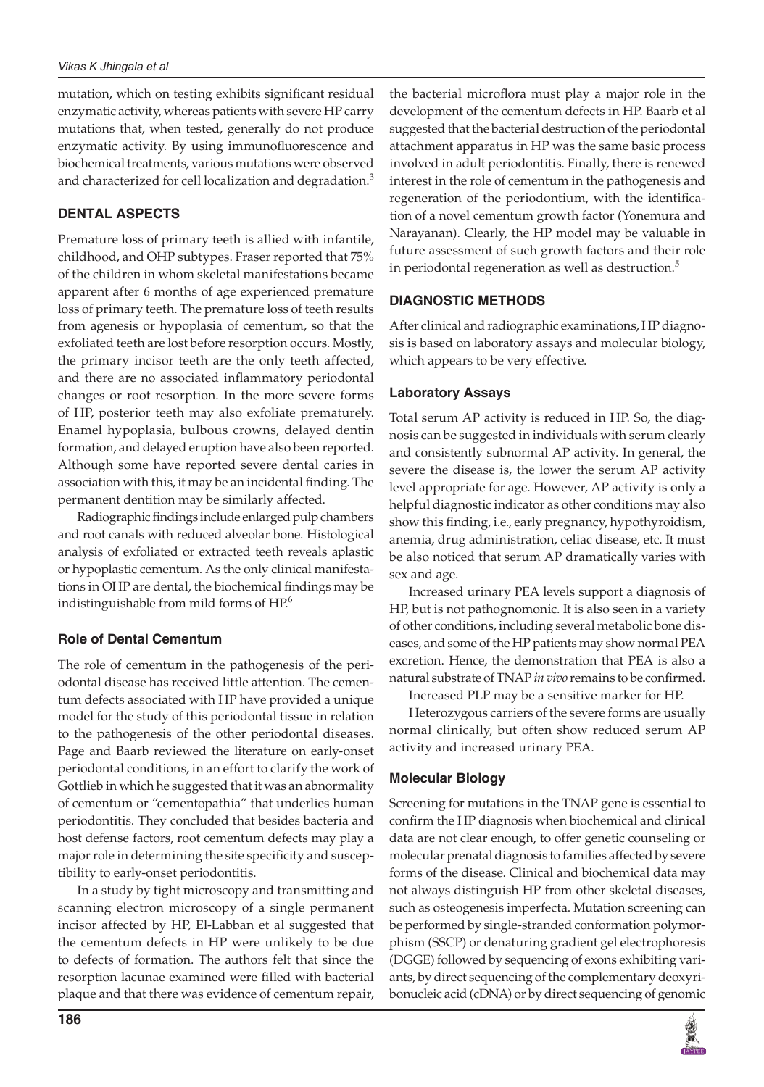mutation, which on testing exhibits significant residual enzymatic activity, whereas patients with severe HP carry mutations that, when tested, generally do not produce enzymatic activity. By using immunofluorescence and biochemical treatments, various mutations were observed and characterized for cell localization and degradation.<sup>3</sup>

#### **DENTAL ASPECTS**

Premature loss of primary teeth is allied with infantile, childhood, and OHP subtypes. Fraser reported that 75% of the children in whom skeletal manifestations became apparent after 6 months of age experienced premature loss of primary teeth. The premature loss of teeth results from agenesis or hypoplasia of cementum, so that the exfoliated teeth are lost before resorption occurs. Mostly, the primary incisor teeth are the only teeth affected, and there are no associated inflammatory periodontal changes or root resorption. In the more severe forms of HP, posterior teeth may also exfoliate prematurely. Enamel hypoplasia, bulbous crowns, delayed dentin formation, and delayed eruption have also been reported. Although some have reported severe dental caries in association with this, it may be an incidental finding. The permanent dentition may be similarly affected.

Radiographic findings include enlarged pulp chambers and root canals with reduced alveolar bone. Histological analysis of exfoliated or extracted teeth reveals aplastic or hypoplastic cementum. As the only clinical manifestations in OHP are dental, the biochemical findings may be indistinguishable from mild forms of HP.<sup>6</sup>

#### **Role of Dental Cementum**

The role of cementum in the pathogenesis of the periodontal disease has received little attention. The cementum defects associated with HP have provided a unique model for the study of this periodontal tissue in relation to the pathogenesis of the other periodontal diseases. Page and Baarb reviewed the literature on early-onset periodontal conditions, in an effort to clarify the work of Gottlieb in which he suggested that it was an abnormality of cementum or "cementopathia" that underlies human periodontitis. They concluded that besides bacteria and host defense factors, root cementum defects may play a major role in determining the site specificity and susceptibility to early-onset periodontitis.

In a study by tight microscopy and transmitting and scanning electron microscopy of a single permanent incisor affected by HP, El-Labban et al suggested that the cementum defects in HP were unlikely to be due to defects of formation. The authors felt that since the resorption lacunae examined were filled with bacterial plaque and that there was evidence of cementum repair,

the bacterial microflora must play a major role in the development of the cementum defects in HP. Baarb et al suggested that the bacterial destruction of the periodontal attachment apparatus in HP was the same basic process involved in adult periodontitis. Finally, there is renewed interest in the role of cementum in the pathogenesis and regeneration of the periodontium, with the identification of a novel cementum growth factor (Yonemura and Narayanan). Clearly, the HP model may be valuable in future assessment of such growth factors and their role in periodontal regeneration as well as destruction.<sup>5</sup>

#### **DIAGNOSTIC METHODS**

After clinical and radiographic examinations, HP diagnosis is based on laboratory assays and molecular biology, which appears to be very effective.

#### **Laboratory Assays**

Total serum AP activity is reduced in HP. So, the diagnosis can be suggested in individuals with serum clearly and consistently subnormal AP activity. In general, the severe the disease is, the lower the serum AP activity level appropriate for age. However, AP activity is only a helpful diagnostic indicator as other conditions may also show this finding, i.e., early pregnancy, hypothyroidism, anemia, drug administration, celiac disease, etc. It must be also noticed that serum AP dramatically varies with sex and age.

Increased urinary PEA levels support a diagnosis of HP, but is not pathognomonic. It is also seen in a variety of other conditions, including several metabolic bone diseases, and some of the HP patients may show normal PEA excretion. Hence, the demonstration that PEA is also a natural substrate of TNAP *in vivo* remains to be confirmed.

Increased PLP may be a sensitive marker for HP.

Heterozygous carriers of the severe forms are usually normal clinically, but often show reduced serum AP activity and increased urinary PEA.

#### **Molecular Biology**

Screening for mutations in the TNAP gene is essential to confirm the HP diagnosis when biochemical and clinical data are not clear enough, to offer genetic counseling or molecular prenatal diagnosis to families affected by severe forms of the disease. Clinical and biochemical data may not always distinguish HP from other skeletal diseases, such as osteogenesis imperfecta. Mutation screening can be performed by single-stranded conformation polymorphism (SSCP) or denaturing gradient gel electrophoresis (DGGE) followed by sequencing of exons exhibiting variants, by direct sequencing of the complementary deoxyribonucleic acid (cDNA) or by direct sequencing of genomic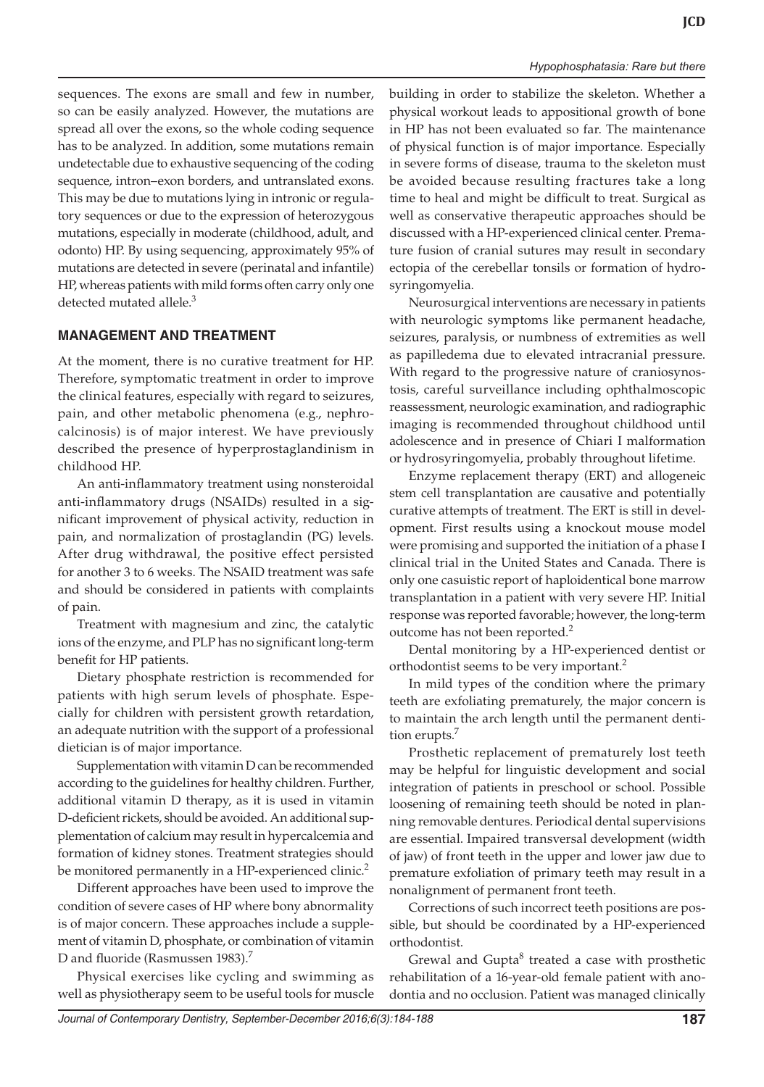sequences. The exons are small and few in number, so can be easily analyzed. However, the mutations are spread all over the exons, so the whole coding sequence has to be analyzed. In addition, some mutations remain undetectable due to exhaustive sequencing of the coding sequence, intron–exon borders, and untranslated exons. This may be due to mutations lying in intronic or regulatory sequences or due to the expression of heterozygous mutations, especially in moderate (childhood, adult, and odonto) HP. By using sequencing, approximately 95% of mutations are detected in severe (perinatal and infantile) HP, whereas patients with mild forms often carry only one detected mutated allele.<sup>3</sup>

#### **MANAGEMENT AND TREATMENT**

At the moment, there is no curative treatment for HP. Therefore, symptomatic treatment in order to improve the clinical features, especially with regard to seizures, pain, and other metabolic phenomena (e.g., nephrocalcinosis) is of major interest. We have previously described the presence of hyperprostaglandinism in childhood HP.

An anti-inflammatory treatment using nonsteroidal anti-inflammatory drugs (NSAIDs) resulted in a significant improvement of physical activity, reduction in pain, and normalization of prostaglandin (PG) levels. After drug withdrawal, the positive effect persisted for another 3 to 6 weeks. The NSAID treatment was safe and should be considered in patients with complaints of pain.

Treatment with magnesium and zinc, the catalytic ions of the enzyme, and PLP has no significant long-term benefit for HP patients.

Dietary phosphate restriction is recommended for patients with high serum levels of phosphate. Especially for children with persistent growth retardation, an adequate nutrition with the support of a professional dietician is of major importance.

Supplementation with vitamin D can be recommended according to the guidelines for healthy children. Further, additional vitamin D therapy, as it is used in vitamin D-deficient rickets, should be avoided. An additional supplementation of calcium may result in hypercalcemia and formation of kidney stones. Treatment strategies should be monitored permanently in a HP-experienced clinic.<sup>2</sup>

Different approaches have been used to improve the condition of severe cases of HP where bony abnormality is of major concern. These approaches include a supplement of vitamin D, phosphate, or combination of vitamin D and fluoride (Rasmussen 1983).<sup>7</sup>

Physical exercises like cycling and swimming as well as physiotherapy seem to be useful tools for muscle building in order to stabilize the skeleton. Whether a physical workout leads to appositional growth of bone in HP has not been evaluated so far. The maintenance of physical function is of major importance. Especially in severe forms of disease, trauma to the skeleton must be avoided because resulting fractures take a long time to heal and might be difficult to treat. Surgical as well as conservative therapeutic approaches should be discussed with a HP-experienced clinical center. Premature fusion of cranial sutures may result in secondary ectopia of the cerebellar tonsils or formation of hydrosyringomyelia.

Neurosurgical interventions are necessary in patients with neurologic symptoms like permanent headache, seizures, paralysis, or numbness of extremities as well as papilledema due to elevated intracranial pressure. With regard to the progressive nature of craniosynostosis, careful surveillance including ophthalmoscopic reassessment, neurologic examination, and radiographic imaging is recommended throughout childhood until adolescence and in presence of Chiari I malformation or hydrosyringomyelia, probably throughout lifetime.

Enzyme replacement therapy (ERT) and allogeneic stem cell transplantation are causative and potentially curative attempts of treatment. The ERT is still in development. First results using a knockout mouse model were promising and supported the initiation of a phase I clinical trial in the United States and Canada. There is only one casuistic report of haploidentical bone marrow transplantation in a patient with very severe HP. Initial response was reported favorable; however, the long-term outcome has not been reported.<sup>2</sup>

Dental monitoring by a HP-experienced dentist or orthodontist seems to be very important.<sup>2</sup>

In mild types of the condition where the primary teeth are exfoliating prematurely, the major concern is to maintain the arch length until the permanent dentition erupts.<sup>7</sup>

Prosthetic replacement of prematurely lost teeth may be helpful for linguistic development and social integration of patients in preschool or school. Possible loosening of remaining teeth should be noted in planning removable dentures. Periodical dental supervisions are essential. Impaired transversal development (width of jaw) of front teeth in the upper and lower jaw due to premature exfoliation of primary teeth may result in a nonalignment of permanent front teeth.

Corrections of such incorrect teeth positions are possible, but should be coordinated by a HP-experienced orthodontist.

Grewal and Gupta<sup>8</sup> treated a case with prosthetic rehabilitation of a 16-year-old female patient with anodontia and no occlusion. Patient was managed clinically